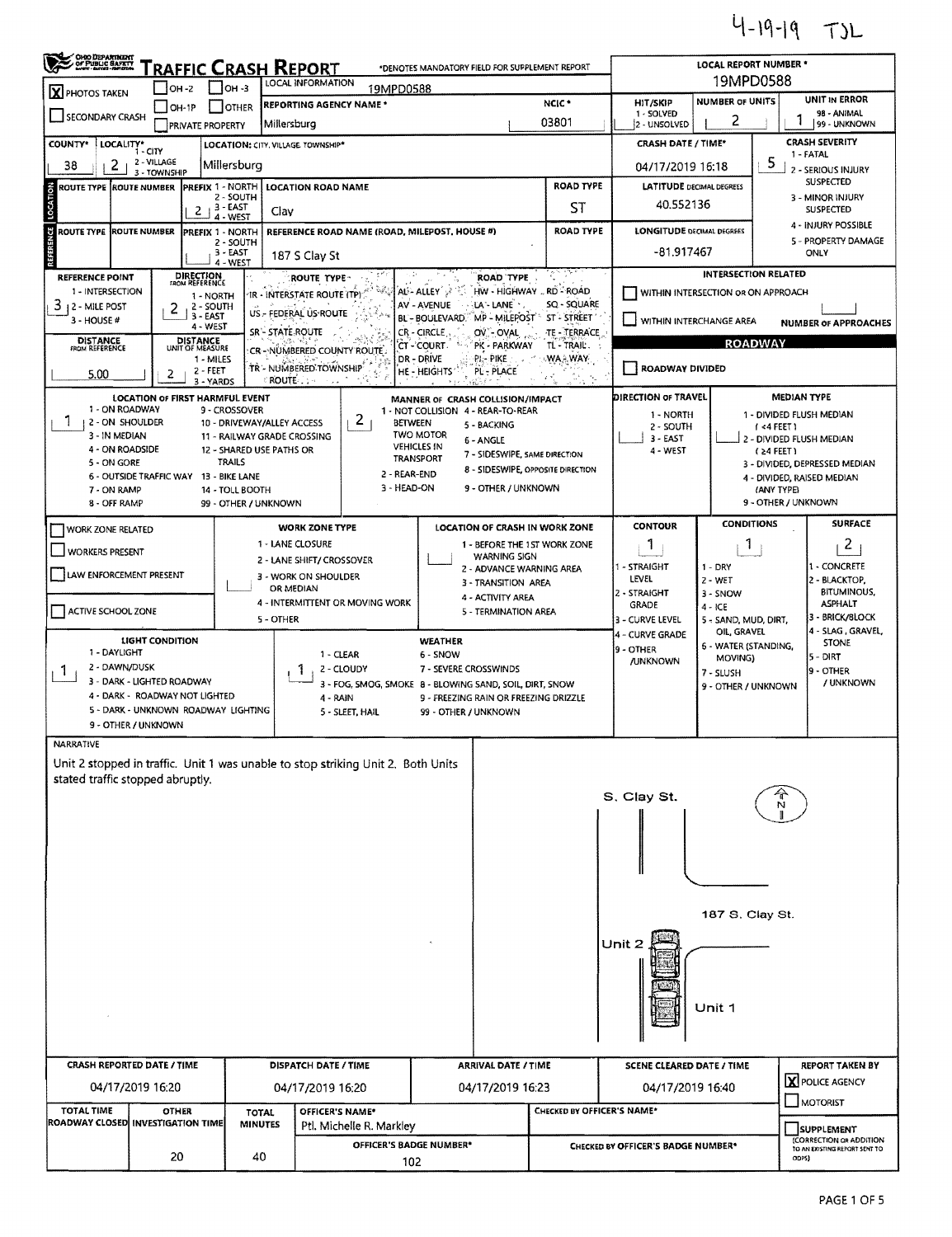$4 - 19 - 19$  TJL

| OHO DEPARTMENT<br><b>RAFFIC CRASH REPORT</b><br>*DENOTES MANDATORY FIELD FOR SUPPLEMENT REPORT                                                                                                                                                         |                                                                       |                                    |                                |                                                         |                                                                                  |                                                                        |                                                                              |                                   |       |                                                        | LOCAL REPORT NUMBER *               |                                                                                                |                                                          |  |  |  |
|--------------------------------------------------------------------------------------------------------------------------------------------------------------------------------------------------------------------------------------------------------|-----------------------------------------------------------------------|------------------------------------|--------------------------------|---------------------------------------------------------|----------------------------------------------------------------------------------|------------------------------------------------------------------------|------------------------------------------------------------------------------|-----------------------------------|-------|--------------------------------------------------------|-------------------------------------|------------------------------------------------------------------------------------------------|----------------------------------------------------------|--|--|--|
| LOCAL INFORMATION<br>$IOH - 3$<br>$IOH - 2$<br>19MPD0588<br><b>X</b> PHOTOS TAKEN                                                                                                                                                                      |                                                                       |                                    |                                |                                                         |                                                                                  |                                                                        |                                                                              |                                   |       |                                                        | 19MPD0588                           |                                                                                                |                                                          |  |  |  |
| SECONDARY CRASH                                                                                                                                                                                                                                        | Millersburg                                                           | <b>REPORTING AGENCY NAME*</b>      |                                |                                                         | NCIC <sup>+</sup><br>03801                                                       |                                                                        | HIT/SKIP<br>1 - SOLVED<br>2 - UNSOLVED                                       | <b>NUMBER OF UNITS</b><br>2       |       | <b>UNIT IN ERROR</b><br>98 - ANIMAL<br>99 - UNKNOWN    |                                     |                                                                                                |                                                          |  |  |  |
| <b>PRIVATE PROPERTY</b><br>LOCALITY*<br><b>COUNTY*</b><br>LOCATION: CITY, VILLAGE. TOWNSHIP*<br>- CITY                                                                                                                                                 |                                                                       |                                    |                                |                                                         |                                                                                  |                                                                        |                                                                              |                                   |       | <b>CRASH SEVERITY</b><br><b>CRASH DATE / TIME*</b>     |                                     |                                                                                                |                                                          |  |  |  |
| 2 - VILLAGE<br>2<br>Millersburg<br>38<br>3 - TOWNSHIP                                                                                                                                                                                                  |                                                                       |                                    |                                |                                                         |                                                                                  |                                                                        |                                                                              |                                   |       | 04/17/2019 16:18                                       | 1 - FATAL<br>2 - SERIOUS INJURY     |                                                                                                |                                                          |  |  |  |
| LOCATION<br>ROUTE TYPE ROUTE NUMBER                                                                                                                                                                                                                    |                                                                       | <b>PREFIX 1 - NORTH</b>            | 2 - SOUTH                      | <b>LOCATION ROAD NAME</b>                               |                                                                                  |                                                                        |                                                                              | <b>ROAD TYPE</b>                  |       | <b>LATITUDE DECIMAL DEGREES</b><br>40.552136           |                                     |                                                                                                | SUSPECTED<br>3 - MINOR INJURY                            |  |  |  |
|                                                                                                                                                                                                                                                        |                                                                       | 2                                  | 3 - EAST<br>4 - WEST           | Clav                                                    |                                                                                  | ST                                                                     |                                                                              |                                   |       |                                                        |                                     |                                                                                                | SUSPECTED<br>4 - INJURY POSSIBLE                         |  |  |  |
| <b>REFERENCE</b><br><b>ROUTE TYPE ROUTE NUMBER</b>                                                                                                                                                                                                     |                                                                       | PREFIX 1 - NORTH                   | 2 - SOUTH<br>3 - EAST          |                                                         | REFERENCE ROAD NAME (ROAD, MILEPOST, HOUSE #)                                    |                                                                        |                                                                              | <b>ROAD TYPE</b>                  |       | <b>LONGITUDE DECIMAL DEGREES</b><br>-81.917467         |                                     |                                                                                                | 5 - PROPERTY DAMAGE<br>ONLY                              |  |  |  |
| <b>REFERENCE POINT</b>                                                                                                                                                                                                                                 | <b>DIRECTION</b><br>FROM REFERENCE                                    | 4 - WEST                           | 187 S Clay St                  | ROUTE TYPE:                                             |                                                                                  | <b>ROAD TYPE</b>                                                       |                                                                              |                                   |       | <b>INTERSECTION RELATED</b>                            |                                     |                                                                                                |                                                          |  |  |  |
| 1 - INTERSECTION                                                                                                                                                                                                                                       |                                                                       | 1 - NORTH                          |                                | IR - INTERSTATE ROUTE (TP)                              |                                                                                  | AL-ALLEY                                                               | HW - HIGHWAY  RD - ROAD<br>WITHIN INTERSECTION OR ON APPROACH<br>SQ - SQUARE |                                   |       |                                                        |                                     |                                                                                                |                                                          |  |  |  |
| 3<br>AV - AVENUE<br>LA - LANE -<br>2 - SOUTH<br>12 - MILE POST<br>2<br>US - FEDERAL US ROUTE<br>3 - EAST<br>ST - STREET<br>MP - MILEPOST <sup>*</sup><br>BL - BOULEVARD.<br>3 - HOUSE #<br>4 - WEST<br>SR - STATE ROUTE<br>TE - TERRACE<br>CR - CIRCLE |                                                                       |                                    |                                |                                                         |                                                                                  |                                                                        |                                                                              |                                   |       | WITHIN INTERCHANGE AREA<br><b>NUMBER OF APPROACHES</b> |                                     |                                                                                                |                                                          |  |  |  |
| <b>DISTANCE</b><br>FROM REFERENCE                                                                                                                                                                                                                      |                                                                       | <b>DISTANCE</b><br>UNIT OF MEASURE |                                |                                                         | CR-NUMBERED COUNTY ROUTE                                                         | 'CT - COURT -                                                          | OV OVAL<br>PK - PARKWAY                                                      | TL-TRAIL.                         |       | <b>ROADWAY</b>                                         |                                     |                                                                                                |                                                          |  |  |  |
| 5.00                                                                                                                                                                                                                                                   | 2                                                                     | 1 - MILES<br>2 - FEET<br>3 - YARDS |                                | TR - NUMBERED TOWNSHIP<br><b>ROUTE</b>                  |                                                                                  | <b>DR-DRIVE</b><br>HE - HEIGHTS'                                       | PL- PIKE<br>PL - PLACE                                                       | WA WAY                            |       | ROADWAY DIVIDED                                        |                                     |                                                                                                |                                                          |  |  |  |
| 1 - ON ROADWAY                                                                                                                                                                                                                                         | LOCATION OF FIRST HARMFUL EVENT                                       |                                    | 9 - CROSSOVER                  |                                                         |                                                                                  | MANNER OF CRASH COLLISION/IMPACT<br>1 - NOT COLLISION 4 - REAR-TO-REAR |                                                                              |                                   |       | DIRECTION OF TRAVEL                                    |                                     |                                                                                                | <b>MEDIAN TYPE</b>                                       |  |  |  |
| 1<br>2 - ON SHOULDER<br>3 - IN MEDIAN                                                                                                                                                                                                                  |                                                                       |                                    |                                | 10 - DRIVEWAY/ALLEY ACCESS                              | $\mathbf{Z}$<br><b>BETWEEN</b>                                                   | <b>TWO MOTOR</b>                                                       | 5 - BACKING                                                                  |                                   |       | 1 - NORTH<br>2 - SOUTH                                 |                                     |                                                                                                | 1 - DIVIDED FLUSH MEDIAN<br>$1 < 4$ FEET 1               |  |  |  |
| 4 - ON ROADSIDE                                                                                                                                                                                                                                        |                                                                       |                                    |                                | 11 - RAILWAY GRADE CROSSING<br>12 - SHARED USE PATHS OR |                                                                                  | <b>VEHICLES IN</b><br><b>TRANSPORT</b>                                 | 6 - ANGLE<br>7 - SIDESWIPE, SAME DIRECTION                                   |                                   |       | 3 - EAST<br>4 - WEST                                   |                                     |                                                                                                | 2 - DIVIDED FLUSH MEDIAN<br>$(24$ FEET)                  |  |  |  |
| 5 - ON GORE                                                                                                                                                                                                                                            | 6 - OUTSIDE TRAFFIC WAY 13 - BIKE LANE                                |                                    | <b>TRAILS</b>                  |                                                         | 2 - REAR-END                                                                     |                                                                        |                                                                              | 8 - SIDESWIPE, OPPOSITE DIRECTION |       |                                                        |                                     | 3 - DIVIDED, DEPRESSED MEDIAN<br>4 DIVIDED, RAISED MEDIAN<br>(ANY TYPE)<br>9 - OTHER / UNKNOWN |                                                          |  |  |  |
| 7 - ON RAMP<br>8 - OFF RAMP                                                                                                                                                                                                                            |                                                                       |                                    | 14 - TOLL BOOTH                | 99 - OTHER / UNKNOWN                                    | 3 - HEAD-ON                                                                      |                                                                        | 9 - OTHER / UNKNOWN                                                          |                                   |       |                                                        |                                     |                                                                                                |                                                          |  |  |  |
| <b>WORK ZONE RELATED</b>                                                                                                                                                                                                                               |                                                                       |                                    |                                | <b>WORK ZONE TYPE</b>                                   |                                                                                  |                                                                        |                                                                              | LOCATION OF CRASH IN WORK ZONE    |       | <b>CONTOUR</b>                                         |                                     | <b>SURFACE</b><br><b>CONDITIONS</b>                                                            |                                                          |  |  |  |
| <b>WORKERS PRESENT</b>                                                                                                                                                                                                                                 |                                                                       |                                    |                                | 1 - LANE CLOSURE<br>2 - LANE SHIFT/ CROSSOVER           |                                                                                  |                                                                        | <b>WARNING SIGN</b>                                                          | 1 - BEFORE THE 1ST WORK ZONE      |       | 1                                                      | 1                                   |                                                                                                | 2                                                        |  |  |  |
| LAW ENFORCEMENT PRESENT                                                                                                                                                                                                                                |                                                                       |                                    |                                | 3 - WORK ON SHOULDER<br>OR MEDIAN                       |                                                                                  |                                                                        | 2 - ADVANCE WARNING AREA<br>3 - TRANSITION AREA                              |                                   |       | 1 - STRAIGHT<br>LEVEL                                  | $1 - DRY$<br>$2 - WET$              |                                                                                                | 1 - CONCRETE<br>2 - BLACKTOP.                            |  |  |  |
| ACTIVE SCHOOL ZONE                                                                                                                                                                                                                                     |                                                                       |                                    |                                |                                                         | 4 - INTERMITTENT OR MOVING WORK                                                  |                                                                        | 4 - ACTIVITY AREA<br>5 - TERMINATION AREA                                    |                                   |       | 2 - STRAIGHT<br>GRADE                                  | 3 - SNOW<br>$4 - ICE$               |                                                                                                | <b>BITUMINOUS,</b><br><b>ASPHALT</b>                     |  |  |  |
|                                                                                                                                                                                                                                                        | <b>LIGHT CONDITION</b>                                                |                                    |                                | 5 - OTHER                                               |                                                                                  | <b>WEATHER</b>                                                         |                                                                              |                                   |       | 3 - CURVE LEVEL<br>4 - CURVE GRADE                     | 5 - SAND, MUD, DIRT,<br>OIL, GRAVEL | 3 - BRICK/SLOCK<br>4 - SLAG, GRAVEL,                                                           |                                                          |  |  |  |
| 1 - DAYLIGHT                                                                                                                                                                                                                                           |                                                                       |                                    |                                |                                                         | 1 - CLEAR                                                                        | 6 - SNOW                                                               |                                                                              |                                   |       | 9 - OTHER<br><b>/UNKNOWN</b>                           | 6 - WATER (STANDING,<br>MOVING)     |                                                                                                | <b>STONE</b><br>5 - DIRT                                 |  |  |  |
| 2 - DAWN/DUSK<br>2 - CLOUDY<br>1.<br>3 - DARK - LIGHTED ROADWAY<br>3 - FOG, SMOG, SMOKE 8 - BLOWING SAND, SOIL, DIRT, SNOW                                                                                                                             |                                                                       |                                    |                                |                                                         |                                                                                  |                                                                        | 7 - SEVERE CROSSWINDS                                                        |                                   |       |                                                        | 7 - SLUSH<br>9 - OTHER / UNKNOWN    |                                                                                                | 9 - OTHER<br>/ UNKNOWN                                   |  |  |  |
|                                                                                                                                                                                                                                                        | 4 - DARK - ROADWAY NOT LIGHTED<br>5 - DARK - UNKNOWN ROADWAY LIGHTING |                                    |                                |                                                         | $4 - RAIN$<br>5 - SLEET, HAIL                                                    | 99 - OTHER / UNKNOWN                                                   | 9 - FREEZING RAIN OR FREEZING DRIZZLE                                        |                                   |       |                                                        |                                     |                                                                                                |                                                          |  |  |  |
|                                                                                                                                                                                                                                                        | 9 - OTHER / UNKNOWN                                                   |                                    |                                |                                                         |                                                                                  |                                                                        |                                                                              |                                   |       |                                                        |                                     |                                                                                                |                                                          |  |  |  |
| NARRATIVE                                                                                                                                                                                                                                              |                                                                       |                                    |                                |                                                         | Unit 2 stopped in traffic. Unit 1 was unable to stop striking Unit 2. Both Units |                                                                        |                                                                              |                                   |       |                                                        |                                     |                                                                                                |                                                          |  |  |  |
| stated traffic stopped abruptly.                                                                                                                                                                                                                       |                                                                       |                                    |                                |                                                         |                                                                                  |                                                                        |                                                                              |                                   |       |                                                        |                                     |                                                                                                |                                                          |  |  |  |
|                                                                                                                                                                                                                                                        |                                                                       |                                    |                                |                                                         |                                                                                  |                                                                        |                                                                              |                                   |       | S. Clay St.                                            |                                     |                                                                                                |                                                          |  |  |  |
|                                                                                                                                                                                                                                                        |                                                                       |                                    |                                |                                                         |                                                                                  |                                                                        |                                                                              |                                   |       |                                                        |                                     |                                                                                                |                                                          |  |  |  |
|                                                                                                                                                                                                                                                        |                                                                       |                                    |                                |                                                         |                                                                                  |                                                                        |                                                                              |                                   |       |                                                        |                                     |                                                                                                |                                                          |  |  |  |
|                                                                                                                                                                                                                                                        |                                                                       |                                    |                                |                                                         |                                                                                  |                                                                        |                                                                              |                                   |       |                                                        |                                     |                                                                                                |                                                          |  |  |  |
|                                                                                                                                                                                                                                                        |                                                                       |                                    |                                |                                                         |                                                                                  |                                                                        |                                                                              |                                   |       | 187 S. Clay St.                                        |                                     |                                                                                                |                                                          |  |  |  |
|                                                                                                                                                                                                                                                        |                                                                       |                                    |                                |                                                         |                                                                                  |                                                                        |                                                                              |                                   |       | Unit 2                                                 |                                     |                                                                                                |                                                          |  |  |  |
|                                                                                                                                                                                                                                                        |                                                                       |                                    |                                |                                                         |                                                                                  |                                                                        |                                                                              |                                   |       |                                                        |                                     |                                                                                                |                                                          |  |  |  |
|                                                                                                                                                                                                                                                        |                                                                       |                                    |                                |                                                         |                                                                                  |                                                                        |                                                                              |                                   |       |                                                        |                                     |                                                                                                |                                                          |  |  |  |
|                                                                                                                                                                                                                                                        |                                                                       |                                    |                                |                                                         |                                                                                  |                                                                        |                                                                              |                                   |       |                                                        | Unit 1                              |                                                                                                |                                                          |  |  |  |
|                                                                                                                                                                                                                                                        |                                                                       |                                    |                                |                                                         |                                                                                  |                                                                        |                                                                              |                                   |       |                                                        |                                     |                                                                                                |                                                          |  |  |  |
| <b>CRASH REPORTED DATE / TIME</b>                                                                                                                                                                                                                      |                                                                       |                                    |                                |                                                         | DISPATCH DATE / TIME                                                             |                                                                        | <b>ARRIVAL DATE / TIME</b>                                                   |                                   |       | <b>SCENE CLEARED DATE / TIME</b>                       | REPORT TAKEN BY                     |                                                                                                |                                                          |  |  |  |
|                                                                                                                                                                                                                                                        | 04/17/2019 16:20                                                      |                                    |                                |                                                         | 04/17/2019 16:20                                                                 |                                                                        | 04/17/2019 16:23                                                             |                                   |       | 04/17/2019 16:40                                       |                                     |                                                                                                | X POLICE AGENCY<br>MOTORIST                              |  |  |  |
| <b>TOTAL TIME</b><br><b>ROADWAY CLOSED INVESTIGATION TIME</b>                                                                                                                                                                                          | <b>OTHER</b>                                                          |                                    | <b>TOTAL</b><br><b>MINUTES</b> |                                                         | OFFICER'S NAME*<br>Ptl. Michelle R. Markley                                      | CHECKED BY OFFICER'S NAME*                                             |                                                                              |                                   |       |                                                        | SUPPLEMENT                          |                                                                                                |                                                          |  |  |  |
|                                                                                                                                                                                                                                                        |                                                                       |                                    |                                |                                                         | OFFICER'S BADGE NUMBER*                                                          |                                                                        |                                                                              |                                   |       | CHECKED BY OFFICER'S BADGE NUMBER*                     |                                     |                                                                                                | (CORRECTION OR ADDITION<br>TO AN EXISTING REPORT SENT TO |  |  |  |
| 20<br>40<br>102                                                                                                                                                                                                                                        |                                                                       |                                    |                                |                                                         |                                                                                  |                                                                        |                                                                              |                                   | ODPS) |                                                        |                                     |                                                                                                |                                                          |  |  |  |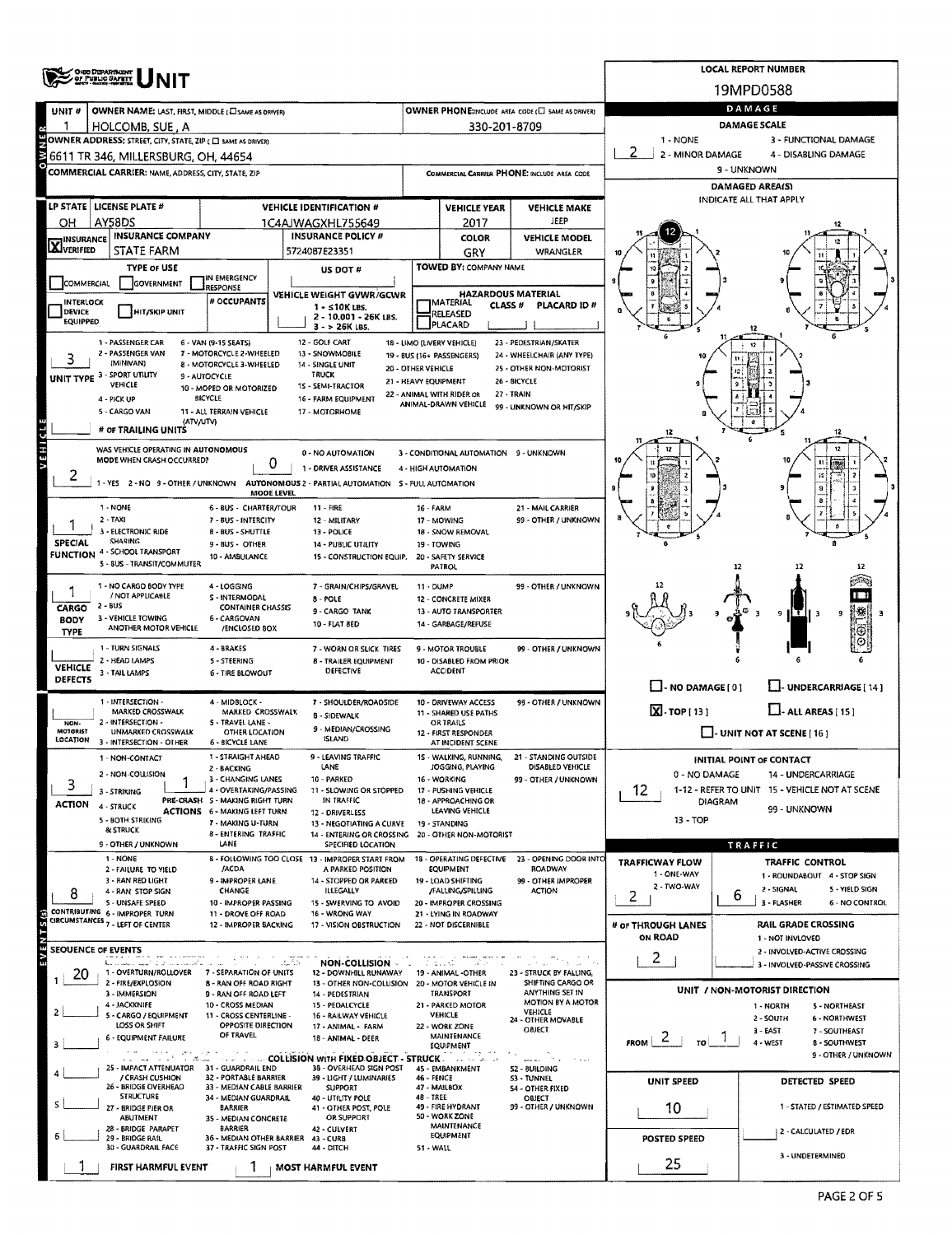|                                                                                                                                                 | <b>OHIO DEPARTMENT</b><br>OF PUBLIC BAPETY                         |                                                                        | <b>LOCAL REPORT NUMBER</b>                                                                                        |                      |                                                   |                                                       |                            |                                                                                       |  |  |  |  |  |
|-------------------------------------------------------------------------------------------------------------------------------------------------|--------------------------------------------------------------------|------------------------------------------------------------------------|-------------------------------------------------------------------------------------------------------------------|----------------------|---------------------------------------------------|-------------------------------------------------------|----------------------------|---------------------------------------------------------------------------------------|--|--|--|--|--|
|                                                                                                                                                 | NIT                                                                |                                                                        |                                                                                                                   |                      |                                                   |                                                       |                            | 19MPD0588                                                                             |  |  |  |  |  |
| UNIT #                                                                                                                                          | OWNER NAME: LAST, FIRST, MIDDLE (LISAME AS ORIVER)                 |                                                                        | OWNER PHONE:INCLUDE AREA CODE (E) SAME AS DRIVER)                                                                 | DAMAGE               |                                                   |                                                       |                            |                                                                                       |  |  |  |  |  |
|                                                                                                                                                 | HOLCOMB, SUE, A                                                    |                                                                        |                                                                                                                   |                      | 330-201-8709                                      |                                                       | 1 - NONE                   | <b>DAMAGE SCALE</b><br>3 - FUNCTIONAL DAMAGE                                          |  |  |  |  |  |
| OWNER ADDRESS: STREET, CITY, STATE, ZIP ( C) SAME AS DRIVER)<br>2 - MINOR DAMAGE<br>4 - DISABLING DAMAGE<br>6611 TR 346, MILLERSBURG, OH, 44654 |                                                                    |                                                                        |                                                                                                                   |                      |                                                   |                                                       |                            |                                                                                       |  |  |  |  |  |
|                                                                                                                                                 | <b>COMMERCIAL CARRIER: NAME, ADDRESS, CITY, STATE, ZIP</b>         |                                                                        |                                                                                                                   |                      |                                                   | COMMERCIAL CARRIER PHONE: INCLUDE AREA CODE           |                            | 9 - UNKNOWN                                                                           |  |  |  |  |  |
|                                                                                                                                                 |                                                                    |                                                                        |                                                                                                                   |                      |                                                   |                                                       | DAMAGED AREA(S)            |                                                                                       |  |  |  |  |  |
|                                                                                                                                                 | LP STATE   LICENSE PLATE #                                         |                                                                        | <b>VEHICLE IDENTIFICATION #</b>                                                                                   |                      | <b>VEHICLE YEAR</b>                               | <b>VEHICLE MAKE</b>                                   |                            | INDICATE ALL THAT APPLY                                                               |  |  |  |  |  |
| ΟН                                                                                                                                              | AY58DS                                                             |                                                                        | 1C4AJWAGXHL755649                                                                                                 |                      | 2017                                              | JEEP                                                  |                            |                                                                                       |  |  |  |  |  |
| <b>X</b> INSURANCE                                                                                                                              | INSURANCE COMPANY<br><b>STATE FARM</b>                             |                                                                        | <b>INSURANCE POLICY #</b><br>5724087E23351                                                                        |                      | <b>COLOR</b><br>GRY                               | <b>VEHICLE MODEL</b><br>WRANGLER                      |                            |                                                                                       |  |  |  |  |  |
|                                                                                                                                                 | <b>TYPE OF USE</b>                                                 |                                                                        | US DOT #                                                                                                          |                      | TOWED BY: COMPANY NAME                            |                                                       |                            |                                                                                       |  |  |  |  |  |
| COMMERCIAL                                                                                                                                      | <b>GOVERNMENT</b>                                                  | IN EMERGENCY<br><b>RESPONSE</b>                                        |                                                                                                                   |                      |                                                   |                                                       |                            |                                                                                       |  |  |  |  |  |
| INTERLOCK                                                                                                                                       |                                                                    | # OCCUPANTS                                                            | VEHICLE WEIGHT GVWR/GCWR<br>$1 - 510K$ LBS.                                                                       |                      | <b>IMATERIAL</b><br>CLASS <sup>#</sup>            | <b>HAZARDOUS MATERIAL</b><br>PLACARD ID#              |                            |                                                                                       |  |  |  |  |  |
| DEVICE<br><b>EQUIPPED</b>                                                                                                                       | HIT/SKIP UNIT                                                      |                                                                        | 2 - 10.001 - 26K LBS.<br>3 - > 26K LBS.                                                                           |                      | RELEASED<br>PLACARD                               |                                                       |                            |                                                                                       |  |  |  |  |  |
| 1 - PASSENGER CAR<br>12 - GOLF CART<br>18 - LIMO (LIVERY VEHICLE)<br>23 - PEDESTRIAN/SKATER<br>6 - VAN (9-15 SEATS)                             |                                                                    |                                                                        |                                                                                                                   |                      |                                                   |                                                       |                            |                                                                                       |  |  |  |  |  |
|                                                                                                                                                 | 2 - PASSENGER VAN<br>(MINIVAN)                                     | 7 - MOTORCYCLE 2-WHEELED<br>8 - MOTORCYCLE 3-WHEELED                   | 13 - SNOWMOBILE<br>14 - SINGLE UNIT                                                                               | 20 - OTHER VEHICLE   | 19 - BUS (16+ PASSENGERS)                         | 24 - WHEELCHAIR (ANY TYPE)<br>25 - OTHER NON-MOTORIST |                            |                                                                                       |  |  |  |  |  |
|                                                                                                                                                 | <b>UNIT TYPE 3 - SPORT UTILITY</b><br>VEHICLE                      | 9 - AUTOCYCLE<br>10 - MOPED OR MOTORIZED                               | TRUCK<br>1S - SEMI-TRACTOR                                                                                        | 21 - HEAVY EQUIPMENT |                                                   | 26 - 8ICYCLE                                          |                            |                                                                                       |  |  |  |  |  |
|                                                                                                                                                 | 4 - PICK UP                                                        | BICYCLE                                                                | 16 - FARM EQUIPMENT                                                                                               |                      | 22 - ANIMAL WITH RIDER OR<br>ANIMAL-DRAWN VEHICLE | 27 - TRAIN<br>99 - UNKNOWN OR HIT/SKIP                |                            |                                                                                       |  |  |  |  |  |
|                                                                                                                                                 | 5 - CARGO VAN<br>(ATV/UTV)                                         | 11 - ALL TERRAIN VEHICLE                                               | 17 - MOTORHOME                                                                                                    |                      |                                                   |                                                       |                            |                                                                                       |  |  |  |  |  |
| C11                                                                                                                                             | # OF TRAILING UNITS                                                |                                                                        |                                                                                                                   |                      |                                                   |                                                       |                            |                                                                                       |  |  |  |  |  |
| VEHI                                                                                                                                            | WAS VEHICLE OPERATING IN AUTONOMOUS<br>MODE WHEN CRASH OCCURRED?   | 0                                                                      | 0 - NO AUTOMATION                                                                                                 |                      | 3 - CONDITIONAL AUTOMATION 9 - UNKNOWN            |                                                       |                            | 12<br>200                                                                             |  |  |  |  |  |
| ۷                                                                                                                                               |                                                                    |                                                                        | 1 - DRIVER ASSISTANCE<br>1 - YES 2 - NO 9 - OTHER / UNKNOWN AUTONOMOUS 2 - PARTIAL AUTOMATION S - FULL AUTOMATION |                      | 4 - HIGH AUTOMATION                               |                                                       |                            |                                                                                       |  |  |  |  |  |
|                                                                                                                                                 |                                                                    | <b>MODE LEVEL</b>                                                      |                                                                                                                   |                      |                                                   |                                                       |                            |                                                                                       |  |  |  |  |  |
|                                                                                                                                                 | 1 - NONE<br>$2 - TAXI$                                             | 6 - BUS - CHARTER/TOUR<br>7 - BUS - INTERCITY                          | $11 - FIRE$<br>12 - MILITARY                                                                                      | 16 - FARM            | 17 - MOWING                                       | 21 - MAIL CARRIER<br>99 - OTHER / UNKNOWN             |                            |                                                                                       |  |  |  |  |  |
|                                                                                                                                                 | 3 - ELECTRONIC RIDE                                                | 8 - BUS - SHUTTLE                                                      | 13 - POLICE                                                                                                       |                      | 18 - SNOW REMOVAL                                 |                                                       |                            |                                                                                       |  |  |  |  |  |
| <b>SPECIAL</b><br><b>FUNCTION</b>                                                                                                               | <b>SHARING</b><br>4 - SCHOOL TRANSPORT                             | 9 - BUS - OTHER<br>10 - AM8ULANCE                                      | 14 - PUBLIC UTILITY<br>15 - CONSTRUCTION EQUIP.                                                                   |                      | 19 - TOWING<br>20 - SAFETY SERVICE                |                                                       |                            |                                                                                       |  |  |  |  |  |
|                                                                                                                                                 | 5 - 8US - TRANSIT/COMMUTER                                         |                                                                        |                                                                                                                   |                      | <b>PATROL</b>                                     |                                                       |                            | 12                                                                                    |  |  |  |  |  |
|                                                                                                                                                 | 1 - NO CARGO BODY TYPE<br>/ NOT APPLICABLE                         | 4 - LOGGING<br>S - INTERMODAL                                          | 7 - GRAIN/CHIPS/GRAVEL                                                                                            | 11 - DUMP            |                                                   | 99 - OTHER / UNKNOWN                                  |                            |                                                                                       |  |  |  |  |  |
| CARGO                                                                                                                                           | 2 - BUS                                                            | <b>CONTAINER CHASSIS</b>                                               | $8 - POLE$<br>9 - CARGO TANK                                                                                      |                      | 12 - CONCRETE MIXER<br>13 - AUTO TRANSPORTER      |                                                       |                            | -ити з<br>q<br>۰ŋ                                                                     |  |  |  |  |  |
| <b>BODY</b><br><b>TYPE</b>                                                                                                                      | 3 - VEHICLE TOWING<br>ANOTHER MOTOR VEHICLE                        | 6 - CARGOVAN<br>/ENCLOSED 80X                                          | 10 - FLAT 8ED                                                                                                     |                      | 14 - GARBAGE/REFUSE                               |                                                       |                            |                                                                                       |  |  |  |  |  |
|                                                                                                                                                 | 1 - TURN SIGNALS                                                   | 4 - BRAKES                                                             | 7 - WORN OR SLICK TIRES                                                                                           |                      | 9 - MOTOR TROUBLE                                 | 99 - OTHER / UNKNOWN                                  |                            |                                                                                       |  |  |  |  |  |
| <b>VEHICLE</b>                                                                                                                                  | 2 - HEAD LAMPS<br>3 - TAIL LAMPS                                   | <b>S-STEERING</b><br><b>6 - TIRE BLOWOUT</b>                           | <b>8 - TRAILER EQUIPMENT</b><br><b>DEFECTIVE</b>                                                                  |                      | 10 - DISABLED FROM PRIOR<br><b>ACCIDENT</b>       |                                                       |                            |                                                                                       |  |  |  |  |  |
| <b>DEFECTS</b>                                                                                                                                  |                                                                    |                                                                        |                                                                                                                   |                      |                                                   |                                                       | $\Box$ - NO DAMAGE [ 0 ]   | LI- UNDERCARRIAGE [ 14 ]                                                              |  |  |  |  |  |
|                                                                                                                                                 | 1 - INTERSECTION -<br>MARKED CROSSWALK                             | 4 - MIDBLOCK -<br>MARKED CROSSWALK                                     | 7 - SHOULDER/ROADSIDE<br>8 - SIDEWALK                                                                             |                      | 10 - DRIVEWAY ACCESS<br>11 - SHARED USE PATHS     | 99 - OTHER / UNKNOWN                                  | $X \cdot \text{top}[13]$   | $L$ - ALL AREAS [15]                                                                  |  |  |  |  |  |
| NON-<br>MOTORIST                                                                                                                                | 2 - INTERSECTION -<br><b>UNMARKED CROSSWALK</b>                    | S - TRAVEL LANE -<br>OTHER LOCATION                                    | 9 - MEDIAN/CROSSING                                                                                               |                      | OR TRAILS<br>12 - FIRST RESPONDER                 |                                                       |                            | $\Box$ - UNIT NOT AT SCENE [16]                                                       |  |  |  |  |  |
| LOCATION                                                                                                                                        | 3 - INTERSECTION - OTHER                                           | 6 - BICYCLE LANE                                                       | <b>ISLAND</b>                                                                                                     |                      | AT INCIDENT SCENE                                 |                                                       |                            |                                                                                       |  |  |  |  |  |
|                                                                                                                                                 | 1 - NON-CONTACT                                                    | 1 - STRAIGHT AHEAD<br>2 - BACKING                                      | 9 - LEAVING TRAFFIC<br>LANE                                                                                       |                      | 1S - WALKING, RUNNING,<br>JOGGING, PLAYING        | 21 - STANDING OUTSIDE<br>DISABLED VEHICLE             |                            | INITIAL POINT OF CONTACT                                                              |  |  |  |  |  |
| 3                                                                                                                                               | 2 - NON-COLLISION<br>3 - STRIKING                                  | 3 - CHANGING LANES<br>4 - OVERTAKING/PASSING                           | 10 - PARKED<br>11 - SLOWING OR STOPPED                                                                            |                      | 16 - WORKING<br>17 - PUSHING VEHICLE              | 99 - OTHER / UNKNOWN                                  | 12                         | 0 - NO DAMAGE<br>14 - UNDERCARRIAGE<br>1-12 - REFER TO UNIT 15 - VEHICLE NOT AT SCENE |  |  |  |  |  |
| <b>ACTION</b>                                                                                                                                   | 4 - STRUCK                                                         | PRE-CRASH S - MAKING RIGHT TURN<br><b>ACTIONS 6 - MAKING LEFT TURN</b> | IN TRAFFIC                                                                                                        |                      | 18 - APPROACHING OR<br>LEAVING VEHICLE            |                                                       |                            | DIAGRAM<br>99 - UNKNOWN                                                               |  |  |  |  |  |
|                                                                                                                                                 | 5 - BOTH STRIKING<br><b>&amp; STRUCK</b>                           | 7 - MAKING U-TURN                                                      | 12 - DRIVERLESS<br>13 - NEGOTIATING A CURVE                                                                       |                      | 19 - STANDING                                     |                                                       | 13 - TOP                   |                                                                                       |  |  |  |  |  |
|                                                                                                                                                 | 9 - OTHER / UNKNOWN                                                | 8 - ENTERING TRAFFIC<br>LANE                                           | 14 - ENTERING OR CROSSING 20 - OTHER NON-MOTORIST<br>SPECIFIED LOCATION                                           |                      |                                                   |                                                       |                            | TRAFFIC                                                                               |  |  |  |  |  |
|                                                                                                                                                 | 1 - NONE                                                           | /ACDA                                                                  | 8 - FOLLOWING TOO CLOSE 13 - IMPROPER START FROM<br>A PARKED POSITION                                             |                      | 18 - OPERATING DEFECTIVE<br>EQUIPMENT             | 23 - OPENING DOOR INTO<br>ROADWAY                     | <b>TRAFFICWAY FLOW</b>     | TRAFFIC CONTROL                                                                       |  |  |  |  |  |
|                                                                                                                                                 | 2 - FAILURE TO YIELD<br>3 - RAN RED LIGHT                          | 9 - IMPROPER LANE                                                      | 14 - STOPPED OR PARKED                                                                                            |                      | 19 - LOAD SHIFTING                                | 99 - OTHER IMPROPER                                   | 1 - ONE-WAY<br>2 - TWO-WAY | 1 - ROUNDABOUT 4 - STOP SIGN<br>5 - YIELD SIGN                                        |  |  |  |  |  |
| 8                                                                                                                                               | 4 - RAN STOP SIGN<br>5 - UNSAFE SPEED                              | CHANGE<br>10 - IMPROPER PASSING                                        | <b>ILLEGALLY</b><br>15 - SWERVING TO AVOID                                                                        |                      | /FALLING/SPILLING<br>20 - IMPROPER CROSSING       | <b>ACTION</b>                                         | $\overline{2}$             | 2 - SIGNAL<br>ь<br>3 - FLASHER<br>6 - NO CONTROL                                      |  |  |  |  |  |
|                                                                                                                                                 | CONTRIBUTING 6 - IMPROPER TURN<br>CIRCUMSTANCES 7 - LEFT OF CENTER | 11 - DROVE OFF ROAD<br>12 - IMPROPER BACKING                           | 16 - WRONG WAY<br>17 - VISION OBSTRUCTION                                                                         |                      | 21 - LYING IN ROADWAY<br>22 - NOT DISCERNIBLE     |                                                       | # OF THROUGH LANES         | RAIL GRADE CROSSING                                                                   |  |  |  |  |  |
|                                                                                                                                                 |                                                                    |                                                                        |                                                                                                                   |                      |                                                   |                                                       | ON ROAD                    | 1 - NOT INVLOVED                                                                      |  |  |  |  |  |
| SEOUENCE OF EVENTS                                                                                                                              | سراعا للاختصاء بالرائد كالمقد المسامعة                             |                                                                        | NON-COLLISION                                                                                                     |                      | J. Galim                                          |                                                       | 2                          | 2 - INVOLVED-ACTIVE CROSSING<br>3 - INVOLVED-PASSIVE CROSSING                         |  |  |  |  |  |
| 20                                                                                                                                              | 1 - OVERTURN/ROLLOVER<br>2 - FIRE/EXPLOSION                        | 7 - SEPARATION OF UNITS<br>8 - RAN OFF ROAD RIGHT                      | 12 - DOWNHILL RUNAWAY<br>13 - OTHER NON-COLLISION 20 - MOTOR VEHICLE IN                                           |                      | 19 - ANIMAL -OTHER                                | 23 - STRUCK BY FALLING,<br>SHIFTING CARGO OR          |                            |                                                                                       |  |  |  |  |  |
|                                                                                                                                                 | 3 - IMMERSION                                                      | 9 - RAN OFF ROAD LEFT                                                  | 14 - PEDESTRIAN                                                                                                   |                      | <b>TRANSPORT</b>                                  | ANYTHING SET IN<br>MOTION BY A MOTOR                  |                            | UNIT / NON-MOTORIST DIRECTION                                                         |  |  |  |  |  |
|                                                                                                                                                 | 4 - JACKKNIFE<br>5 - CARGO / EQUIPMENT                             | 10 - CROSS MEDIAN<br>11 - CROSS CENTERLINE -                           | 15 - PEDALCYCLE<br>16 - RAILWAY VEHICLE                                                                           |                      | 21 - PARKED MOTOR<br>VEHICLE                      | VEHICLE<br>24 - OTHER MOVABLE                         |                            | 1 - NORTH<br>5 - NORTHEAST<br>6 - NORTHWEST<br>2 - SOUTH                              |  |  |  |  |  |
|                                                                                                                                                 | LOSS OR SHIFT<br>6 - EQUIPMENT FAILURE                             | OPPOSITE DIRECTION<br>OF TRAVEL                                        | 17 - ANIMAL - FARM<br>18 - ANIMAL - DEER                                                                          |                      | 22 - WORK ZONE<br>MAINTENANCE                     | <b>OBJECT</b>                                         | $FROM \mid Z \mid$<br>TO   | $3 - EAST$<br>7 - SOUTHEAST<br>4 - WEST                                               |  |  |  |  |  |
|                                                                                                                                                 | a Branch                                                           |                                                                        | <b>EXAMPLE COLLISION WITH FIXED OBJECT - STRUCK.</b>                                                              |                      | <b>EQUIPMENT</b><br>and the about                 | when they                                             |                            | 8 - SOUTHWEST<br>9 - OTHER / UNKNOWN                                                  |  |  |  |  |  |
|                                                                                                                                                 | 25 - IMPACT ATTENUATOR 31 - GUARDRAIL END<br>/ CRASH CUSHION       | 32 - PORTABLE BARRIER                                                  | 38 - OVERHEAD SIGN POST<br>39 - LIGHT / LUMINARIES                                                                | 46 - FENCE           | 45 - EMBANKMENT                                   | 52 - BUILDING<br>53 - TUNNEL                          |                            |                                                                                       |  |  |  |  |  |
|                                                                                                                                                 | 26 - BRIDGE OVERHEAD<br><b>STRUCTURE</b>                           | 33 - MEDIAN CABLE BARRIER<br>34 - MEDIAN GUARDRAIL                     | <b>SUPPORT</b><br>40 - UTILITY POLE                                                                               | 48 - TREE            | 47 - MAILBOX                                      | 54 - OTHER FIXED<br>OBJECT                            | <b>UNIT SPEED</b>          | <b>DETECTED SPEED</b>                                                                 |  |  |  |  |  |
|                                                                                                                                                 | 27 - BRIDGE PIER OR<br><b>ABUTMENT</b>                             | <b>BARRIER</b>                                                         | 41 - OTHER POST, POLE<br>OR SUPPORT                                                                               |                      | 49 - FIRE HYDRANT<br>50 - WORK ZONE               | 99 - OTHER / UNKNOWN                                  | 10                         | 1 - STATED / ESTIMATED SPEED                                                          |  |  |  |  |  |
|                                                                                                                                                 | 28 - BRIDGE PARAPET                                                | 35 - MEDIAN CONCRETE<br>BARRIER                                        | 42 - CULVERT                                                                                                      |                      | MAINTENANCE<br>EQUIPMENT                          |                                                       |                            | 2 - CALCULATED / EDR                                                                  |  |  |  |  |  |
|                                                                                                                                                 | 29 - BRIDGE RAIL<br>30 - GUARDRAIL FACE                            | 36 - MEDIAN OTHER BARRIER 43 - CURB<br>37 - TRAFFIC SIGN POST          | 44 - DITCH                                                                                                        | 51 - WALL            |                                                   |                                                       | POSTED SPEED               | 3 - UNDETERMINED                                                                      |  |  |  |  |  |
|                                                                                                                                                 | FIRST HARMFUL EVENT                                                | Ŧ                                                                      | MOST HARMFUL EVENT                                                                                                |                      |                                                   |                                                       | 25                         |                                                                                       |  |  |  |  |  |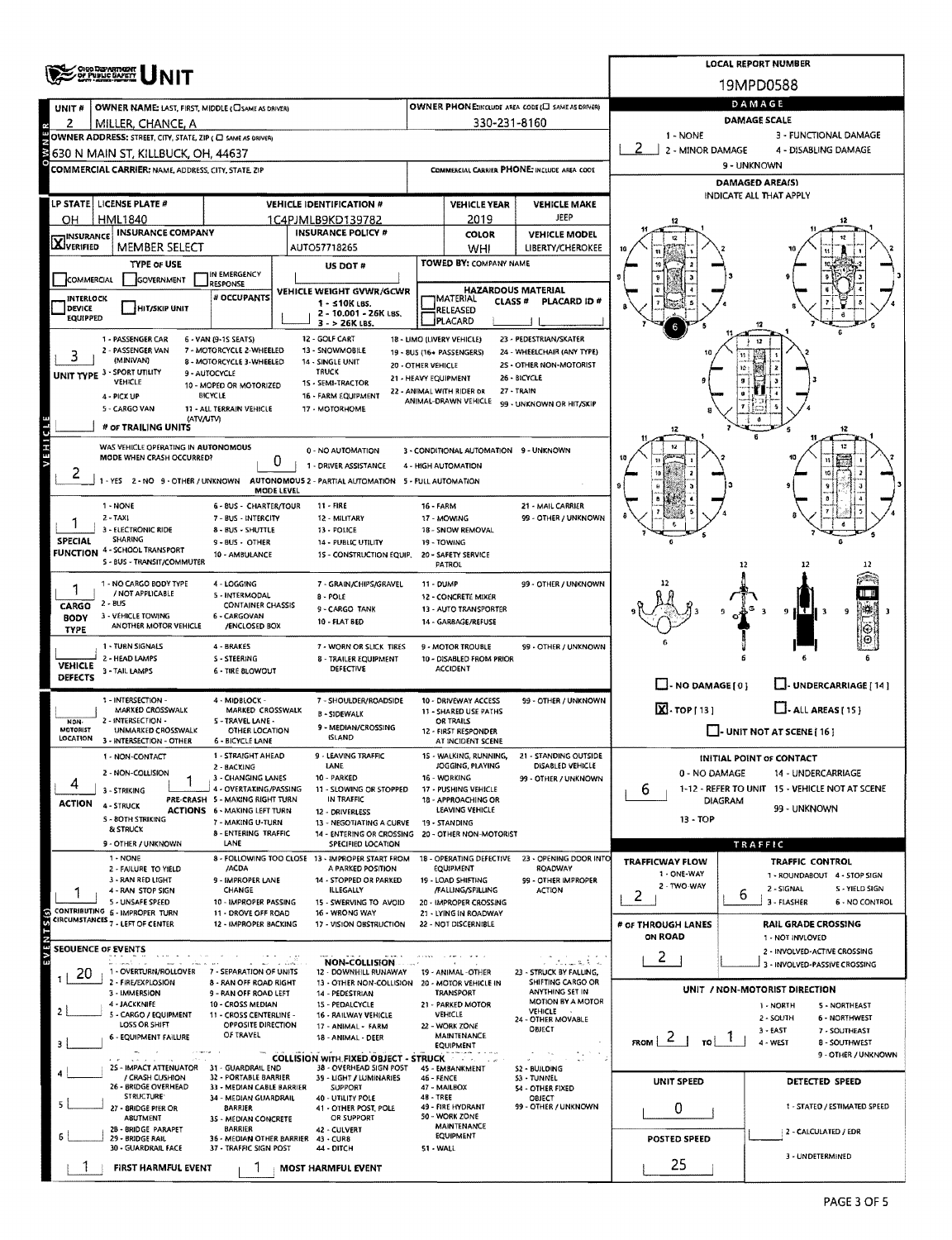|                                                                                                                     | OHO DEPARTMENT<br>OF PUBLIC BAFETY                                            |                                                           | <b>LOCAL REPORT NUMBER</b>                                                                                         |                                          |                                                                          |                                                                  |                                                                   |                                                               |  |  |  |  |  |  |
|---------------------------------------------------------------------------------------------------------------------|-------------------------------------------------------------------------------|-----------------------------------------------------------|--------------------------------------------------------------------------------------------------------------------|------------------------------------------|--------------------------------------------------------------------------|------------------------------------------------------------------|-------------------------------------------------------------------|---------------------------------------------------------------|--|--|--|--|--|--|
|                                                                                                                     |                                                                               |                                                           |                                                                                                                    |                                          |                                                                          |                                                                  |                                                                   | 19MPD0588                                                     |  |  |  |  |  |  |
| UNIT #                                                                                                              | <b>OWNER NAME: LAST, FIRST, MIDDLE (CISAME AS DRIVER)</b>                     |                                                           | DAMAGE                                                                                                             |                                          |                                                                          |                                                                  |                                                                   |                                                               |  |  |  |  |  |  |
| 2                                                                                                                   | MILLER, CHANCE, A                                                             |                                                           |                                                                                                                    | 330-231-8160                             | OWNER PHONE:INCLUDE AREA CODE (E) SAME AS DRIVER)<br><b>DAMAGE SCALE</b> |                                                                  |                                                                   |                                                               |  |  |  |  |  |  |
|                                                                                                                     | OWNER ADDRESS: STREET, CITY, STATE, ZIP ( C SAME AS ORIVER)                   |                                                           |                                                                                                                    | 1 - NONE                                 | 3 - FUNCTIONAL DAMAGE                                                    |                                                                  |                                                                   |                                                               |  |  |  |  |  |  |
| M                                                                                                                   | 630 N MAIN ST, KILLBUCK, OH, 44637                                            |                                                           |                                                                                                                    | 2 - MINOR DAMAGE<br>4 - DISABLING DAMAGE |                                                                          |                                                                  |                                                                   |                                                               |  |  |  |  |  |  |
|                                                                                                                     | COMMERCIAL CARRIER: NAME, ADDRESS, CITY, STATE, ZIP                           |                                                           |                                                                                                                    |                                          |                                                                          | COMMERCIAL CARRIER PHONE: INCLUDE AREA CODE                      | 9 - UNKNOWN                                                       |                                                               |  |  |  |  |  |  |
|                                                                                                                     |                                                                               |                                                           |                                                                                                                    |                                          |                                                                          |                                                                  |                                                                   | DAMAGED AREA(S)<br>INDICATE ALL THAT APPLY                    |  |  |  |  |  |  |
|                                                                                                                     | LP STATE   LICENSE PLATE #<br><b>HML1840</b>                                  |                                                           | <b>VEHICLE IDENTIFICATION #</b><br><b>VEHICLE YEAR</b><br><b>VEHICLE MAKE</b><br>JEEP<br>2019<br>1C4PJMLB9KD139782 |                                          |                                                                          |                                                                  |                                                                   |                                                               |  |  |  |  |  |  |
| OH                                                                                                                  | <b>INSURANCE COMPANY</b>                                                      |                                                           | <b>INSURANCE POLICY #</b>                                                                                          |                                          | <b>COLOR</b>                                                             | <b>VEHICLE MODEL</b>                                             |                                                                   |                                                               |  |  |  |  |  |  |
| <b>X</b> INSURANCE                                                                                                  | MEMBER SELECT                                                                 |                                                           | AUTO57718265                                                                                                       |                                          | WHI                                                                      | <b>LIBERTY/CHEROKEE</b>                                          |                                                                   |                                                               |  |  |  |  |  |  |
|                                                                                                                     | <b>TYPE OF USE</b>                                                            |                                                           | US DOT #                                                                                                           |                                          | TOWED BY: COMPANY NAME                                                   |                                                                  |                                                                   |                                                               |  |  |  |  |  |  |
| COMMERCIAL                                                                                                          | GOVERNMENT                                                                    | IN EMERGENCY<br>RESPONSE                                  |                                                                                                                    | <b>HAZARDOUS MATERIAL</b>                |                                                                          |                                                                  |                                                                   |                                                               |  |  |  |  |  |  |
| <b>INTERLOCK</b>                                                                                                    |                                                                               | # OCCUPANTS                                               | VEHICLE WEIGHT GVWR/GCWR<br>$1 - 510K$ LBS.                                                                        |                                          | <b>IMATERIAL</b><br><b>CLASS#</b>                                        | <b>PLACARD ID #</b>                                              |                                                                   |                                                               |  |  |  |  |  |  |
| <b>DEVICE</b><br>HIT/SKIP UNIT<br>RELEASED<br>2 - 10.001 - 26K LBS.<br>EQUIPPED<br>PLACARD<br>3 - > 26K LBS.        |                                                                               |                                                           |                                                                                                                    |                                          |                                                                          |                                                                  |                                                                   |                                                               |  |  |  |  |  |  |
| 1 - PASSENGER CAR<br>12 - GOLF CART<br>18 - LIMO (LIVERY VEHICLE)<br>23 - PEDESTRIAN/SKATER<br>6 - VAN (9-1S SEATS) |                                                                               |                                                           |                                                                                                                    |                                          |                                                                          |                                                                  |                                                                   |                                                               |  |  |  |  |  |  |
| 3                                                                                                                   | 2 - PASSENGER VAN<br>(MINIVAN)                                                | 7 - MOTORCYCLE 2-WHEELED<br>8 - MOTORCYCLE 3-WHEELED      | 13 - SNOWMOBILE<br>14 - SINGLE UNIT                                                                                |                                          | 19 - 8US (16+ PASSENGERS)                                                | 24 - WHEELCHAIR (ANY TYPE)                                       |                                                                   |                                                               |  |  |  |  |  |  |
|                                                                                                                     | UNIT TYPE 3 - SPORT UTILITY                                                   | 9 - AUTOCYCLE                                             | 20 - OTHER VEHICLE<br><b>TRUCK</b>                                                                                 |                                          | 21 - HEAVY EQUIPMENT                                                     | 2S - OTHER NON-MOTORIST<br>26 - BICYCLE                          |                                                                   |                                                               |  |  |  |  |  |  |
|                                                                                                                     | VEHICLE<br>4 - PICX UP                                                        | 10 - MOPED OR MOTORIZED<br><b>BICYCLE</b>                 | 15 - SEMI-TRACTOR<br>16 - FARM EQUIPMENT                                                                           |                                          | 22 - ANIMAL WITH RIDER DR                                                | 27 - TRAIN                                                       |                                                                   |                                                               |  |  |  |  |  |  |
|                                                                                                                     | 5 - CARGO VAN                                                                 | 11 - ALL TERRAIN VEHICLE                                  | 17 - MOTORHOME                                                                                                     |                                          | ANIMAL-DRAWN VEHICLE                                                     | 99 - UNKNOWN OR HIT/SKIP                                         |                                                                   |                                                               |  |  |  |  |  |  |
|                                                                                                                     | (ATV/UTV)<br># OF TRAILING UNITS                                              |                                                           |                                                                                                                    |                                          |                                                                          |                                                                  | 12                                                                |                                                               |  |  |  |  |  |  |
| VEHICL                                                                                                              | WAS VEHICLE OPERATING IN AUTONOMOUS                                           |                                                           |                                                                                                                    |                                          |                                                                          |                                                                  |                                                                   |                                                               |  |  |  |  |  |  |
|                                                                                                                     | MODE WHEN CRASH OCCURRED?                                                     | 0                                                         | 0 - NO AUTOMATION<br>1 - DRIVER ASSISTANCE                                                                         |                                          | 3 - CONDITIONAL AUTOMATION 9 - UNKNOWN<br>4 - HIGH AUTOMATION            |                                                                  |                                                                   |                                                               |  |  |  |  |  |  |
| ۷                                                                                                                   |                                                                               |                                                           | 1 - YES 2 - NO 9 - OTHER / UNKNOWN AUTONOMOUS 2 - PARTIAL AUTOMATION 5 - FULL AUTOMATION                           |                                          |                                                                          |                                                                  |                                                                   |                                                               |  |  |  |  |  |  |
|                                                                                                                     |                                                                               | MODE LEVEL                                                |                                                                                                                    |                                          |                                                                          |                                                                  |                                                                   |                                                               |  |  |  |  |  |  |
|                                                                                                                     | 1 - NONE<br>$2 - TAX$                                                         | 6 - BUS - CHARTER/TOUR<br>7 - BUS - INTERCITY             | $11 - FIRE$<br>12 - MILITARY                                                                                       | 16 FARM                                  | 17 - MOWING                                                              | 21 - MAIL CARRIER<br>99 - OTHER / UNKNOWN                        |                                                                   |                                                               |  |  |  |  |  |  |
|                                                                                                                     | 3 - ELECTRONIC RIDE                                                           | 8 - BUS - SHUTTLE                                         | 13 - POLICE                                                                                                        |                                          |                                                                          |                                                                  |                                                                   |                                                               |  |  |  |  |  |  |
| <b>SPECIAL</b><br><b>FUNCTION</b>                                                                                   | SHARING<br>4 - SCHOOL TRANSPORT                                               | 9 - BUS - OTHER<br>10 - AMBULANCE                         | 14 - PUBLIC UTILITY                                                                                                |                                          | 19 - TOWING<br>20 - SAFETY SERVICE                                       |                                                                  |                                                                   |                                                               |  |  |  |  |  |  |
|                                                                                                                     | 5 - BUS - TRANSIT/COMMUTER                                                    |                                                           | 15 - CONSTRUCTION EQUIP.                                                                                           |                                          | PATROL                                                                   |                                                                  |                                                                   | 12<br>12                                                      |  |  |  |  |  |  |
|                                                                                                                     | 1 - NO CARGO BODY TYPE                                                        | 4 - LOGGING                                               | 7 - GRAIN/CHIPS/GRAVEL                                                                                             | 11 - DUMP                                |                                                                          | 99 - OTHER / UNKNOWN                                             |                                                                   |                                                               |  |  |  |  |  |  |
| CARGO                                                                                                               | / NOT APPLICABLE<br>2 - BUS                                                   | 5 - INTERMODAL<br><b>CONTAINER CHASSIS</b>                | <b>B-POLE</b>                                                                                                      |                                          | 12 - CONCRETE MIXER                                                      |                                                                  |                                                                   |                                                               |  |  |  |  |  |  |
| <b>BODY</b>                                                                                                         | 3 - VEHICLE TOWING                                                            | 6 - CARGOVAN                                              | 9 - CARGO TANK<br><b>10 - FLAT BED</b>                                                                             |                                          | 13 - AUTO TRANSPORTER<br>14 - GARBAGE/REFUSE                             |                                                                  |                                                                   |                                                               |  |  |  |  |  |  |
| <b>TYPE</b>                                                                                                         | ANOTHER MOTOR VEHICLE                                                         | /ENCLOSED BOX                                             |                                                                                                                    |                                          |                                                                          |                                                                  |                                                                   |                                                               |  |  |  |  |  |  |
|                                                                                                                     | 1 - TURN SIGNALS<br>2 - HEAD LAMPS                                            | 4 - BRAKES<br>S - STEERING                                | 7 - WORN OR SLICK TIRES<br><b>8 - TRAILER EQUIPMENT</b>                                                            |                                          | 9 - MOTOR TROUBLE<br>10 - DISABLED FROM PRIOR                            | 99 - OTHER / UNKNOWN                                             |                                                                   |                                                               |  |  |  |  |  |  |
| VEHICLE<br><b>DEFECTS</b>                                                                                           | 3 - TAIL LAMPS                                                                | <b>6 - TIRE BLOWOUT</b>                                   | DEFECTIVE                                                                                                          |                                          | <b>ACCIDENT</b>                                                          |                                                                  |                                                                   |                                                               |  |  |  |  |  |  |
|                                                                                                                     |                                                                               |                                                           |                                                                                                                    |                                          |                                                                          |                                                                  | $\Box$ - NO DAMAGE[0]                                             | L. UNDERCARRIAGE [ 14 ]                                       |  |  |  |  |  |  |
|                                                                                                                     | 1 - INTERSECTION -<br>MARKED CROSSWALK                                        | 4 - MIDBLOCK -<br>MARKED CROSSWALK                        | 7 - SHOULDER/ROADSIDE                                                                                              |                                          | 10 - DRIVEWAY ACCESS<br>11 - SHARED USE PATHS                            | 99 - OTHER / UNKNOWN                                             | $\overline{\mathbf{X}}$ . TOP [ 13 ]                              | $\Box$ - ALL AREAS [ 15 ]                                     |  |  |  |  |  |  |
| NON-<br><b>MOTORIST</b>                                                                                             | 2 - INTERSECTION -<br>UNMARKED CROSSWALK                                      | 5 - TRAVEL LANE -<br>OTHER LOCATION                       | <b>B-SIDEWALK</b><br>9 - MEDIAN/CROSSING                                                                           |                                          | OR TRAILS<br>12 - FIRST RESPONDER                                        |                                                                  |                                                                   | $\Box$ - UNIT NOT AT SCENE [ 16 ]                             |  |  |  |  |  |  |
| LOCATION                                                                                                            | 3 - INTERSECTION - OTHER                                                      | 6 - BICYCLE LANE                                          | <b>ISLAND</b>                                                                                                      |                                          | AT INCIDENT SCENE                                                        |                                                                  |                                                                   |                                                               |  |  |  |  |  |  |
|                                                                                                                     | 1 - NON-CONTACT                                                               | 1 - STRAIGHT AHEAD                                        | 9 - LEAVING TRAFFIC<br>LANE                                                                                        |                                          | JOGGING, PLAYING                                                         | 15 - WALKING, RUNNING, 21 - STANDING OUTSIDE<br>DISABLED VEHICLE |                                                                   | INITIAL POINT OF CONTACT                                      |  |  |  |  |  |  |
|                                                                                                                     | 2 - NON-COLLISION                                                             | 2 - BACKING<br>3 - CHANGING LANES                         | 10 - PARKED                                                                                                        |                                          | 16 - WORKING                                                             | 99 - OTHER / UNKNOWN                                             | 0 - NO DAMAGE                                                     | 14 - UNDERCARRIAGE                                            |  |  |  |  |  |  |
|                                                                                                                     | 3 - STRIKING                                                                  | 4 - OVERTAKING/PASSING<br>PRE-CRASH 5 - MAKING RIGHT TURN | 11 - SLOWING OR STOPPED<br>IN TRAFFIC                                                                              |                                          | 17 - PUSHING VEHICLE<br>18 - APPROACHING OR                              |                                                                  | 6<br>DIAGRAM                                                      | 1-12 - REFER TO UNIT 15 - VEHICLE NOT AT SCENE                |  |  |  |  |  |  |
| <b>ACTION</b>                                                                                                       | 4 - STRUCK                                                                    | <b>ACTIONS 6 - MAKING LEFT TURN</b>                       | 12 - DRIVERLESS                                                                                                    |                                          | LEAVING VEHICLE                                                          |                                                                  |                                                                   | 99 - UNKNOWN                                                  |  |  |  |  |  |  |
|                                                                                                                     | <b>S - BOTH STRIKING</b><br>& STRUCK                                          | 7 - MAKING U-TURN<br>8 - ENTERING TRAFFIC                 | 13 - NEGOTIATING A CURVE<br>14 - ENTERING OR CROSSING                                                              |                                          | 19 - STANDING<br>20 - OTHER NON-MOTORIST                                 |                                                                  | 13 - TOP                                                          |                                                               |  |  |  |  |  |  |
|                                                                                                                     | 9 - OTHER / UNKNOWN                                                           | LANE                                                      | SPECIFIED LOCATION                                                                                                 |                                          |                                                                          |                                                                  |                                                                   | TRAFFIC                                                       |  |  |  |  |  |  |
|                                                                                                                     | 1 - NONE<br>2 - FAILURE TO YIELD                                              | /ACDA                                                     | 8 - FOLLOWING TOO CLOSE 13 - IMPROPER START FROM<br>A PARKED POSITION                                              |                                          | 18 - OPERATING DEFECTIVE<br>EQUIPMENT                                    | 23 - OPENING DOOR INTO<br>ROADWAY                                | <b>TRAFFICWAY FLOW</b>                                            | <b>TRAFFIC CONTROL</b>                                        |  |  |  |  |  |  |
|                                                                                                                     | 3 - RAN RED LIGHT                                                             | 9 - IMPROPER LANE                                         | 14 - STOPPED OR PARKED                                                                                             |                                          | 19 - LOAD SHIFTING                                                       | 99 - OTHER IMPROPER                                              | 1 - ONE-WAY<br>2 - TWO-WAY                                        | 1 - ROUNDABOUT 4 - STOP SIGN<br>2 - SIGNAL<br>S - YIELD SIGN  |  |  |  |  |  |  |
|                                                                                                                     | 4 - RAN STOP SIGN<br>5 - UNSAFE SPEED                                         | CHANGE<br>10 - IMPROPER PASSING                           | <b>ILLEGALLY</b><br>15 - SWERVING TO AVOID                                                                         |                                          | /FALLING/SPILLING<br>20 - IMPROPER CROSSING                              | ACTION                                                           | 2                                                                 | 6<br>3 - FLASHER<br>6 - NO CONTROL                            |  |  |  |  |  |  |
|                                                                                                                     | CONTRIBUTING 6 - IMPROPER TURN<br>CIRCUMSTANCES <sub>7</sub> - LEFT OF CENTER | 11 - DROVE OFF ROAD<br>12 - IMPROPER BACKING              | 16 - WRONG WAY                                                                                                     |                                          | 21 - LYING IN ROADWAY<br>22 - NOT DISCERNIBLE                            |                                                                  | # OF THROUGH LANES                                                |                                                               |  |  |  |  |  |  |
| <b>EVENTS(S)</b>                                                                                                    |                                                                               |                                                           | 17 - VISION OBSTRUCTION                                                                                            |                                          |                                                                          |                                                                  | <b>ON ROAD</b>                                                    | <b>RAIL GRADE CROSSING</b><br>1 - NOT INVLOVED                |  |  |  |  |  |  |
| <b>SEQUENCE OF EVENTS</b>                                                                                           |                                                                               |                                                           |                                                                                                                    |                                          |                                                                          |                                                                  | 2                                                                 | 2 - INVOLVED-ACTIVE CROSSING                                  |  |  |  |  |  |  |
| 20                                                                                                                  | التاريخ والمستنقلة<br>1 - OVERTURN/ROLLOVER 7 - SEPARATION OF UNITS           |                                                           | <b>NON-COLLISION</b><br>12 - DOWNHILL RUNAWAY 19 - ANIMAL -OTHER                                                   |                                          |                                                                          | بأنا فالمستبدأ أبر<br>23 - STRUCK BY FALLING,                    |                                                                   | 3 - INVOLVED-PASSIVE CROSSING                                 |  |  |  |  |  |  |
|                                                                                                                     | 2 - FIRE/EXPLOSION<br>3 - IMMERSION                                           | 8 - RAN OFF ROAD RIGHT<br>9 - RAN OFF ROAD LEFT           | 13 - OTHER NON-COLLISION 20 - MOTOR VEHICLE IN<br>14 - PEDESTRIAN                                                  |                                          | <b>TRANSPORT</b>                                                         | SHIFTING CARGO OR<br>ANYTHING SET IN                             |                                                                   | UNIT / NON-MOTORIST DIRECTION                                 |  |  |  |  |  |  |
|                                                                                                                     | 4 - JACKKNIFE                                                                 | 10 - CROSS MEDIAN                                         | 15 - PEDALCYCLE                                                                                                    |                                          | 21 - PARKED MOTOR                                                        | <b>MOTION BY A MOTOR</b><br>VEHICLE                              |                                                                   | 1 - NORTH<br>5 - NORTHEAST                                    |  |  |  |  |  |  |
| 2                                                                                                                   | 5 - CARGO / EQUIPMENT<br>LOSS OR SHIFT                                        | 11 - CROSS CENTERLINE -<br>OPPOSITE DIRECTION             | 16 - RAILWAY VEHICLE<br>17 - ANIMAL - FARM                                                                         |                                          | VEHICLE<br>22 - WORK ZONE                                                | 24 - OTHER MOVABLE<br>OBJECT                                     |                                                                   | 2 - SOUTH<br>6 - NORTHWEST                                    |  |  |  |  |  |  |
| з                                                                                                                   | 6 - EQUIPMENT FAILURE                                                         | OF TRAVEL                                                 | 18 - ANIMAL - DEER                                                                                                 |                                          | <b>MAINTENANCE</b><br>EQUIPMENT                                          |                                                                  | $F_{ROM}$ $\vert$ $\vert$ $\vert$ $\vert$ $\vert$ $\vert$ $\vert$ | $3 - EAST$<br>7 - SOUTHEAST<br>4 - WEST<br><b>B-SOUTHWEST</b> |  |  |  |  |  |  |
|                                                                                                                     |                                                                               |                                                           | <b>COLLISION WITH FIXED OBJECT - STRUCK</b>                                                                        |                                          | 2012/03                                                                  |                                                                  |                                                                   | 9 - OTHER / UNKNOWN                                           |  |  |  |  |  |  |
|                                                                                                                     | 25 - IMPACT ATTENUATOR<br>/ CRASH CUSHION                                     | 31 - GUARDRAIL END<br>32 - PORTABLE BARRIER               | 38 - OVERHEAD SIGN POST<br>39 - LIGHT / LUMINARIES                                                                 | <b>46 - FENCE</b>                        | 45 - EMBANKMENT                                                          | S2 - BUILDING<br>53 - TUNNEL                                     |                                                                   |                                                               |  |  |  |  |  |  |
|                                                                                                                     | 26 - BRIDGE OVERHEAD<br>STRUCTURE <sup>.</sup>                                | 33 - MEDIAN CABLE BARRIER<br>34 - MEDIAN GUARDRAIL        | <b>SUPPORT</b><br>40 - UTILITY POLE                                                                                | 48 - TREE                                | 47 - MAILBOX                                                             | 54 - OTHER FIXED<br><b>OBJECT</b>                                | UNIT SPEED                                                        | DETECTED SPEED                                                |  |  |  |  |  |  |
|                                                                                                                     | 27 - 8RIDGE PIER OR                                                           | <b>BARRIER</b>                                            | 41 - OTHER POST, POLE                                                                                              |                                          | 49 - FIRE HYDRANT                                                        | 99 - OTHER / UNKNOWN                                             | 0                                                                 | 1 - STATED / ESTIMATED SPEED                                  |  |  |  |  |  |  |
|                                                                                                                     | <b>ABUTMENT</b><br>28 - 8RIDGE PARAPET                                        | 3S - MEDIAN CONCRETE<br><b>BARRIER</b>                    | OR SUPPORT<br>42 - CULVERT                                                                                         |                                          | 50 - WORK ZONE<br><b>MAINTENANCE</b>                                     |                                                                  |                                                                   | 2 - CALCULATED / EDR                                          |  |  |  |  |  |  |
|                                                                                                                     | 29 - BRIDGE RAIL<br>30 - GUARDRAIL FACE                                       | 36 - MEDIAN OTHER BARRIER<br>37 - TRAFFIC SIGN POST       | 43 - CUR8<br>44 - DITCH                                                                                            | 51 - WALL                                | EQUIPMENT                                                                |                                                                  | POSTED SPEED                                                      |                                                               |  |  |  |  |  |  |
|                                                                                                                     | FIRST HARMFUL EVENT                                                           |                                                           | MOST HARMFUL EVENT                                                                                                 |                                          |                                                                          |                                                                  | 25                                                                | 3 - UNDETERMINED                                              |  |  |  |  |  |  |
|                                                                                                                     |                                                                               |                                                           |                                                                                                                    |                                          |                                                                          |                                                                  |                                                                   |                                                               |  |  |  |  |  |  |